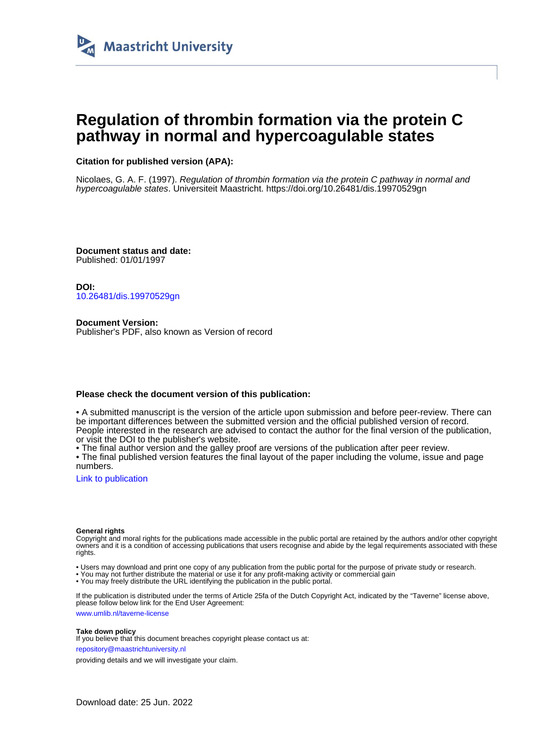

# **Regulation of thrombin formation via the protein C pathway in normal and hypercoagulable states**

## **Citation for published version (APA):**

Nicolaes, G. A. F. (1997). Regulation of thrombin formation via the protein C pathway in normal and hypercoagulable states. Universiteit Maastricht.<https://doi.org/10.26481/dis.19970529gn>

**Document status and date:** Published: 01/01/1997

**DOI:** [10.26481/dis.19970529gn](https://doi.org/10.26481/dis.19970529gn)

**Document Version:** Publisher's PDF, also known as Version of record

### **Please check the document version of this publication:**

• A submitted manuscript is the version of the article upon submission and before peer-review. There can be important differences between the submitted version and the official published version of record. People interested in the research are advised to contact the author for the final version of the publication, or visit the DOI to the publisher's website.

• The final author version and the galley proof are versions of the publication after peer review.

• The final published version features the final layout of the paper including the volume, issue and page numbers.

[Link to publication](https://cris.maastrichtuniversity.nl/en/publications/6144d464-6d7a-49fa-a9ee-1535d0c43195)

#### **General rights**

Copyright and moral rights for the publications made accessible in the public portal are retained by the authors and/or other copyright owners and it is a condition of accessing publications that users recognise and abide by the legal requirements associated with these rights.

• Users may download and print one copy of any publication from the public portal for the purpose of private study or research.

• You may not further distribute the material or use it for any profit-making activity or commercial gain

• You may freely distribute the URL identifying the publication in the public portal.

If the publication is distributed under the terms of Article 25fa of the Dutch Copyright Act, indicated by the "Taverne" license above, please follow below link for the End User Agreement:

www.umlib.nl/taverne-license

#### **Take down policy**

If you believe that this document breaches copyright please contact us at: repository@maastrichtuniversity.nl

providing details and we will investigate your claim.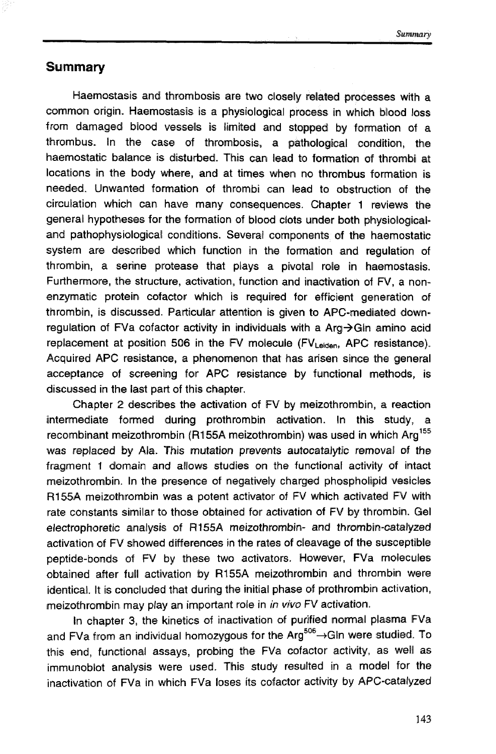## **Summary**

Haemostasis and thrombosis are two closely related processes with a common origin. Haemostasis is a physiological process in which blood loss from damaged blood vessels is limited and stopped by formation of a thrombus. In the case of thrombosis, a pathological condition, the haemostatic balance is disturbed. This can lead to formation of thrombi at locations in the body where, and at times when no thrombus formation is needed. Unwanted fomation of thrombi can lead to obstruction of the circullation which can have many consequences. Chapter 1 reviews the general hypotheses for the formation of blood clots under both physiologicaland pathophysiological conditions. Several components of the haemostatic system are described which function in the fomation and regulation of thrombin, a serine protease that plays a pivotal role in haemostasis. Furthermore, the structure, activation, function and inadivation of FV, a nonenzymatic protein eofactor which is required for efficient generation of thrombin, is discussed. Particular attention is given to APC-mediated downregulation of FVa cofactor activity in individuals with a  $Ara \rightarrow Glin$  amino acid replacement at position 506 in the FV molecule (FV<sub>Leiden</sub>, APC resistance). Acquired APC resistance, a phenomenon that has arisen since the general acceptance of screening for APC resistance by functional methods, is discussed in the last part of this chapter,

Chapter 2 describes the activation of FV by meizothrombin, a reaction intermediate formed during prothrombin activation. In this study, a recombinant meizothrombin (R155A meizothrombin) was used in which  $Arq^{155}$ was replaced by **Ala. This** mutation prevents autocatalytjc removal of the fragment 1 domain and allows studies on the functional activity of intact meizothrombin. In the presence of negatively charged phospholipid vesicles **R155A meizothrombin was a potent activator of FV which activated FV with** rate constants similar to those obtained for activation of FV by thrombin. Gel electrophoretic analysis of R155A meizothrombin- and thrombin-catalyzed activation of FV showed differences in the rates **d** cleavage of the susceptible peptide-bonds of FV by these two activators. However, FYa molecules obtained after full activation by R155A meizothrombin and thrombin were identical. It is concluded that during the initial phase of prothrombin activation, meizothrombin may play an important role in in vivo FV activation.

In chapter 3, the kinetics of inactivation of purified normal plasma FVa and FVa from an individual homozygous for the Arg<sup>506</sup> $\rightarrow$ Gln were studied. To this end, functional assays, probing the FVa cofactor activity, as well as immunoblot analysis were used. This study resulted in a model for the inactivation of FVa in which FVa loses its cofactor activity by APC-catalyzed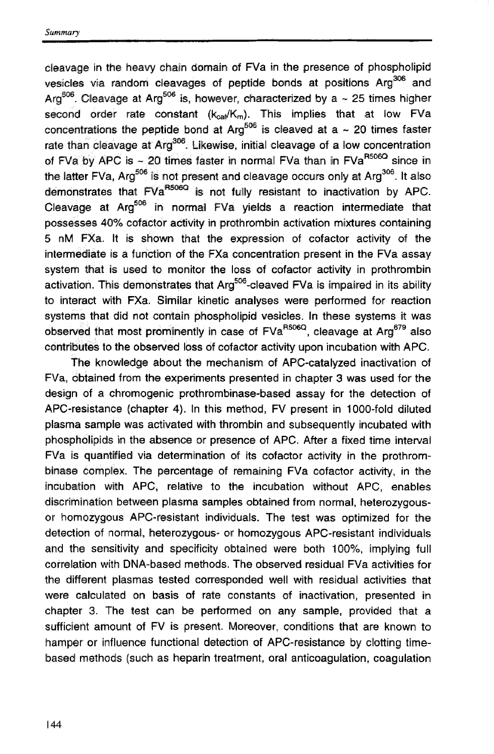$cl$ eavage in the heavy chain domain of  $FVa$  in the presence of phospholipid vesicles via random cleavages of peptide bonds at positions Arg<sup>306</sup> and Arg<sup>506</sup>, Cleavage at Arg<sup>506</sup> is, however, characterized by a  $\sim$  25 times higher second order rate constant  $(k_{\text{rad}}/K_{\text{m}})$ . This implies that at low FVa concentrations the peptide bond at Arg<sup>506</sup> is cleaved at a  $\sim$  20 times faster rate than cleavage at  $Ara^{306}$ . Likewise, initial cleavage of a low concentration of FVa by APC is ~ 20 times faster in normal FVa than in FVa<sup>R506Q</sup> since in the latter FVa,  $Arq^{506}$  is not present and cleavage occurs only at  $Arq^{306}$ . It also demonstrates that FVa<sup>R506Q</sup> is not fully resistant to inactivation by APC. Cleavage at Arg<sup>506</sup> in normal FVa yields a reaction intermediate that possesses 40% cofactor activity in prothrombin activation mixtures containing 5 nM FXa. It is shown that the expression of cofactor activity of the intermediate is a function of **the** FXa concentration present in the FVa assay system that is used to monitor the loss of cofactor actiwty in prothrombin activation. This demonstrates that  $Ara^{506}$ -cleaved FVa is impaired in its ability to interact with FXa. Similar kinetic analyses were performed for reaction systems that did not contain phospholipid vesicles. In these systems it was observed that most prominently in case of FVa<sup>R506Q</sup>, cleavage at Arg<sup>679</sup> also contributes to the observed loss of cofactor activity upon incubation with APC.

The knowledge about the mechanism of APC-catalyzed inactivation of FVa. obtained from the experiments presented in chapter 3 was used for the design of a chromogenic prothrombinase-based assay for the detection of APC-resistance (chapter 4). In this method, FV present in 1000-fold diluted plasma sample was activated with thrombin and subsequently incubated with phospholipids in the absence or presence of APC. After a fixed time interval FVa is quantified via determination of its cofactor activity in the prothrombinase complex. The percentage of remaining FVa cofactor activify, in the incubation with APC, relative to the incubation without APC, enables discrimination between plasma samples obtained from normal, heterozygousor homozygous APC-resistant individuals. The test was optimized for the detection of normal, heterozygous- or hornozygous APC-resistant individuals and the sensitivity and specificity obtained were both 100%, implying full correlation with DNA-based methods. The obsemed residual FVa activities far **the** different plasmas tested corresponded well with residual activities that were calculated on basis of rate constants of inactivation, presented in chapter 3. The test can be performed on any sample, provided that a sufficient amount of FV is present. Moreover, conditions that are known to hamper or influence functional detection of APC-resistance by clotting timebased methods (such as heparin treatment, oral anticoagulation, coagulation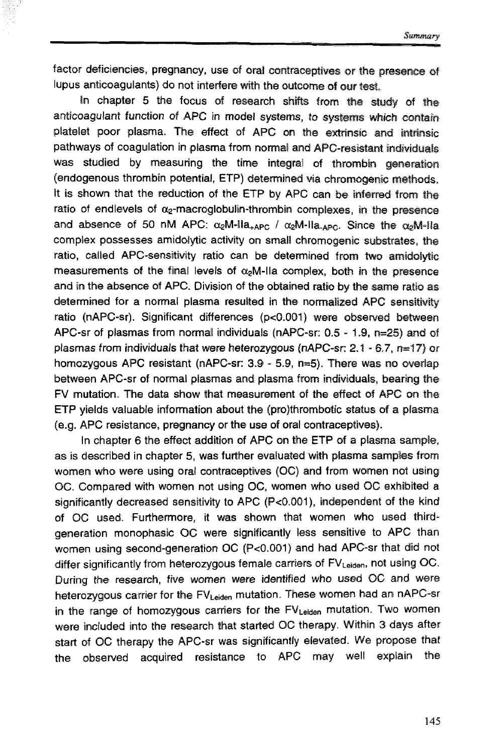factor deficiencies, pregnancy, use of oral contraceptives or the presence of lupus anticoagulants) do not interfere with the outcome of our test.

In chapter 5 the focus of research shifts from the study of the anticoagulant function of APC in model systems, to systems which contain platelet poor plasma. The effect of APC on the extrinsic and intrinsic pathways of coagulation in plasma from normal and APC-resistant individuals was studied by measuring the time integral of thrombin generation (endogenous thrombin potential, ETP) determined via chromogenic methods, It is shown that the reduction of the ETP by APC can be inferred from the ratio of endlevels of  $\alpha$ -macroglobulin-thrombin complexes, in the presence and absence of 50 nM APC:  $\alpha_2$ M-lla<sub>+APC</sub> /  $\alpha_2$ M-lla<sub>-APC</sub>. Since the  $\alpha_2$ M-lla complex possesses amidolytic activity on small chromogenic substrates, the ratio, called APC-sensitivity ratio can be determined from two amidolytic measurements of the final levels of  $\alpha_2$ M-lla complex, both in the presence and in the absence of **APG.** Division **d** the obtained ratio **by** the same ratio **as**  determined for a normal plasma resulted in the normalized APC sensitivity ratio (nAPC-sr). Significant differences (p<0.001) were observed between APC-sr of plasmas from normal individuals (nAPC-sr: 0.5 - 1.9, **n=25)** and **d**  plasmas from individuals that were heterozygous (nAPC-sr: 2.1 - 6.7, n=17) or homozygous APC resistant (nAPC-sr: 3.9 - 5.9, n=5). There was no overlap between APC-sr of nomal plasmas and plasma from individuals, bearing the FV mutation. The data show that measurement of the effed of **APG** on **the**  ETP yields valuable infon~ation about the (pro)thrornbatic status **af** a plasma **(e.g.** ARC resistance, pregnancy or the use **d** oral contraceptives).

In chapter 6 the effect addlition of APC on the ETP of a plasma **sampte,**  as is described in chapter 5, was further evaluated with plasma samples from women who were using oral contraceptives (OC) and from women not using 0C. Compared with women not using OC, women who used OC exhibited a significantly decreased sensitivity to APC (P<0.0011), indiependent of the **kind**  of OC used. Furthermore, it was shown that women who used thirdgeneration monophasic OC were significantly less sensitive to APC than women using second-generation OC (P<0.001) and had APC-sr that did not differ significantly from heterozygous female carriers of  $FV<sub>Leiden</sub>$ , not using OC. During the research, five women were identified who used OC and were heterozygous carrier for the  $FV_{\text{Leiden}}$  mutation. These women had an nAPC-sr in the range of homozygous carriers for the FV<sub>Leiden</sub> mutation. Two women were included into the research that started OC therapy. Within 3 days after start of OC therapy the APC-sr was significantly elevated. We propose that the observed acquired resistance to APC may well explain the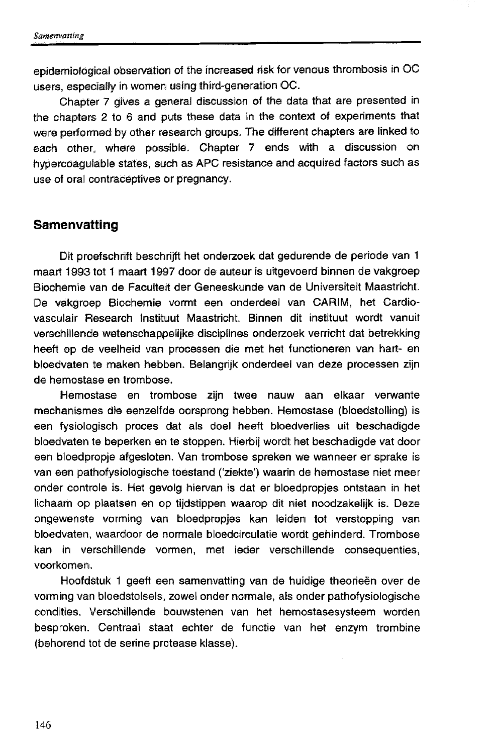epidemiological observation of the increased risk for venous thrombosis in OC users, especially in women using third-generation OC.

Chapter 7 gives a general discussion of the data that are presented in the chapters 2 to 6 and puts these data in the context of experiments that were perfoned **by** other research graups. The different chapters are linked ta each other, where possible. Chapter 7 ends with a discussion on hypercoagulable states, such as APC resistance and acquired factors such as use of oral contraceptives or pregnancy.

## **Samenvatting**

Dit proefschrift beschrijft het onderzoek dat gedurende de periode van 1 maart 1993 tot 1 maart 1997 door de auteur is uitgevoerd binnen de vakgroep Biochemie van de Faculteit der Geneeskunde van de Universiteit Maastricht. De vakgroep Biochemie vormt een onderdeel van CARIM, het Cardiovasculair Research Instituut Maastricht. Binnen dit instituut wordt vanuit verschillende wetenschappelijke disciplines onderzoek verricht dat betrekking heeft op de veelheid van processen die met het functioneren van hart- en bloedvaten te maken hebben. Belangrijk onderdeel van deze processen zijn de hemostase en trombose.

Hemostase en trombose zijn twee nauw aan elkaar verwante mechanismes die eenzelfde oorsprong hebben. Hemostase (bloedstolling) is een fysiologisch proces dat als doel heeft bloedverlies uit beschadigde bloedvaten te beperken en te stoppen. Hierbij wordt het beschadigde vat door een bloedpropje afgesloten. Van trombose spreken we wanneer er sprake is van een pathofysiologische toestand ('ziekte') waarin de hemostase niet meer onder controle is. Het gevolg hiervan is dat er bloedpropjes ontstaan in het lichaam **op** plaatsen en op tijdstippen waarop dil niet noodzakelijk is. Deze ongewenste vorming van bloedpropjes kan leiden tot verstopping van bloedvaten, waardoor de normale bloedcirculatie wordt gehinderd. Trombose kan in verschillende vormen, met ieder verschillende consequenties, voorkomen.

Hoofdstuk 1 geeft een samenvatting van de huidige theorieën over de vorming van bloedstolsels, zowel onder normale, als onder pathofysiologische condities. Verschillende bouwstenen van het hemostasesysteem worden besproken. Centraal staat echter de functie van het enzym trombine (behorend tot de serine protease klasse).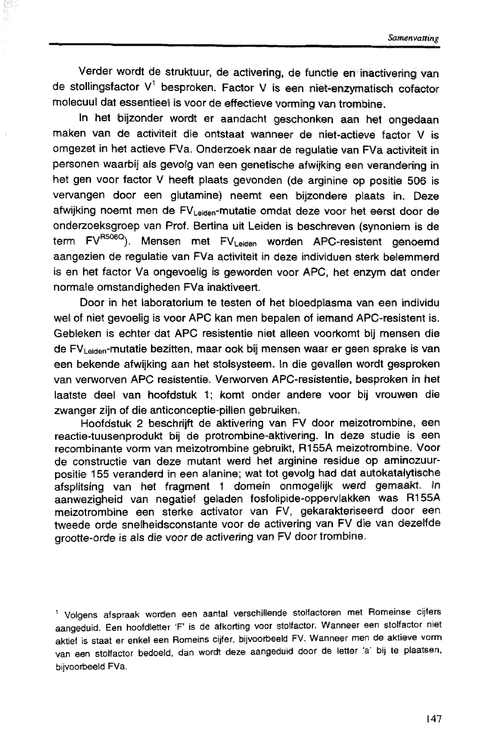Verder wordt de struktuur, de activering, de functie en inactivering van de stollingsfactor V' besproken. Factor V is een niet-enzymatisch cofador molecuul dat essentieel is voor de effectieve vorming van trombine.

In het bijzonder wordt er aandacht geschonken aan het ongedaan maken van de activiteit die ontstaat wanneer de niet-actieve factor V is omgezet in het actieve FVa. Onderzoek naar de regulatie van FVa activiteit in personen waarbij als gevolg wan een genetische afwijking een verandering in het gen voor factor V heeft plaats gevonden (de arginine op positie 506 is vervangen door een glutamine) neemt een bijzondere plaats in. **Deze**  afwijking noemt men de FVLeiden-mutatie omdat deze voor het eerst door de onderzoeksgroep van Prof. Bertina uit Leiden is beschreven (synoniem is de term FV<sup>R506Q</sup>). Mensen met FV<sub>Leiden</sub> worden APC-resistent genoemd aangezien de regulatie van FVa activiteit in deze individuen sterk belemmerd is en het factor Va ongevoelig is geworden voor APC, het enzym dat onder normale omstandigheden FVa inaktiveert.

Door in het laboratorium te testen of het bloedplasma van een individu wel of niet gevoelig is voor **APC** kan men bepalen of iemand APC-resistent is. Gebleken is echter dat APC resistentie niet alleen voorkomt bij mensen die de FV~,,~,~-mutatie beziîken, maar ook bij mensen waar **er** geen spralke is van een bekende afwijking aan het stolsysteem. In die gevallen wordt gesproken wan verworven APC resistentie. Verworven APC-resistentie, besproken in het laatste deel van hoofdstuk 1; komt onder andere voor bij vrouwen die zwanger zijn of die anticonceptie-pillen gebruiken.

Hoofdstuk 2 beschrijft de aktivering van FV door meizotrombine, een reactie-tuusenprodukt bij de protrombine-aktivering. In deze studie is een recombinante vom wan meizotrombine gebruikt, RI 55A meizotrombine. Voor de constructie van deze mutant werd het arginine residue op aminozuurpositie 155 veranderd in een alanine; wat tot gevolg had dat autokatalytische afsplitsing van het fragment 1 domein onmogelijk **werd** gemaakt In aanwezigheid van negatief geladen fosfolipide-oppervlakken was R155A meizotrombine een sterke activator van FV, gekarakteriseerd door een tweede orde snelheidsconstante voor de activering van FV die van dezelfde grootte-orde is als die voor de activering van FV door trombine.

<sup>1</sup> Volgens afspraak worden een aantal verschillende stolfactoren met Romeinse cijfers aangeduid. Een hoofdletter 'F' is de afkorting voor stolfactor. Wanneer een stolfactor niet aktief is staat er enkel een Romeins ciijfer, bijwaarbeeld FV. Wannaer men **de** aKiieve **vorm**  van een stolfactor bedoeld, dan wordt deze aangeduid door de letter 'a' bij te plaatsen, bijvoorbeeld FVa.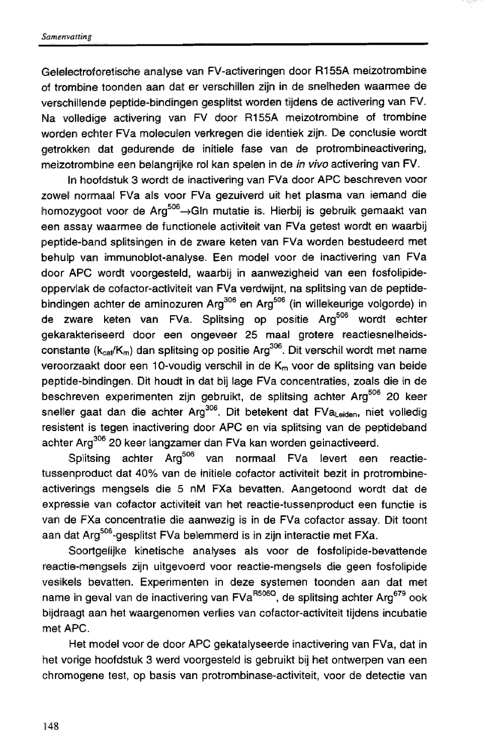Gelelectroforetische analyse van FV-activeringen door R155A meizotrombine of trombine toonden aan dat er verschillen zijn in de snelheden waarmee de verschilllende peptide-bindingen gesplitst worden tijdens de activering wan FV. Na volledige activering van FV door R155A meizotrombine of trombine worden echter FVa moleculen verkregen die identiek zijn. De conclusie wordt getrokken dat gedurende de initiele fase van de protrombineadivering, meizotrombine een belangrijke rol kan spelen in de *in vivo* activering van FV.

In hoofdstuk 3 wordt de inactivering van FVa door APC beschreven voor zowel normaal FVa als voor FVa gezuiverd uit het plasma van iemand die homozygoot voor de Arg<sup>506</sup> -> Gln mutatie is. Hierbij is gebruik gemaakt van een assay waarmee de functionele activiteit van FVa getest wordt en waarbij peptide-band splitsingen in de zware keten van FVa worden bestudeerd met behulp van immunoblot-analyse. Een model voor de inactivering van FVa door APC wordt voorgesteld, waarbij in aanwezigheid van een fosfolipideoppervlak de cofactor-activiteit van FVa verdwiint, na splitsing van de peptidebindingen achter de aminozuren Arg<sup>306</sup> en Arg<sup>506</sup> (in willekeurige volgorde) in de zware keten van FVa. Splitsing op positie Arg<sup>506</sup> wordt echter gekarakteriseerd door een ongeveer 25 maal grotere reactiesnelheidsconstante  $(k_{cat}/K_m)$  dan splitsing op positie Arg<sup>306</sup>. Dit verschil wordt met name veroorzaakt door een 10-voudig verschil in de K<sub>m</sub> voor de splitsing van beide peptide-bindingen. Dit houdt in dat bij lage FVa concentraties, zoals die in de beschreven experimenten zijn gebruikt, de splitsing achter Arg<sup>506</sup> 20 keer sneller gaat dan die achter Arg<sup>306</sup>. Dit betekent dat FVa<sub>Leiden</sub>, niet volledig resistent is tegen inactivering door APC en via splitsing van de peptideband achter Arg<sup>306</sup> 20 keer langzamer dan FVa kan worden geinactiveerd.

Splitsing achter Arg<sup>506</sup> van normaal FVa levert een reactietussenproduct dat 40% van de initiele cofactor activiteit bezit in protrombineactiverings mengsels die 5 nM FXa bevatten. Aangetoond wordt dat de expressie van cofactor activiteit van het reactie-tussenproduct een functie is van de FXa concentratie die aanwezig is in de FVa cofactor assay. Dit toont aan dat Arg<sup>506</sup>-gesplitst FVa belemmerd is in zijn interactie met FXa.

Soortgelijke kinetische analyses als voor de fosfolipide-bevattende reactie-mengsels zijn uitgevoerd voor reactie-mengsels die geen fosfolipide vesikels bevatten. Experimenten in deze systemen toonden aan dat met name in geval van de inactivering van FVa<sup>R506Q</sup>, de splitsing achter Arg<sup>679</sup> ook bijdraagt aan het waargenomen verlies van cofactor-activiteit tijdens incubatie met **APC.** 

Het model voor de door APC gekatalyseerde inactivering van FVa, dat in het vorige hoofdstuk 3 werd voorgesteld is gebruikt bij het ontwerpen van een chromogene test, op basis van protrombinase-activiteit, voor de detectie van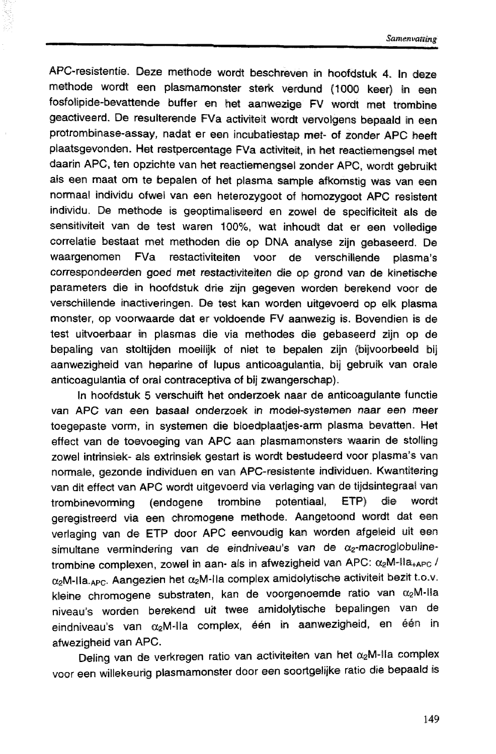APC-resistentie. Deze methode wordt beschreven in hoofdstuk 4. In deze methode wordt een plasmamonster sterk verdund (1000 keer) in een fosfolipide-bevattende buffer en het aanwezige FV wordt met trombine geactiveerd. De resulterende FVa activiteit wordt vervolgens bepaald in een protrombinase-assay, nadat er een incubatiestap **met-** of zonder **APC** heeft plaatsgevonden. Het restpercentage FVa activiteit, in het reactiemengsel met daarin APC, ten opzichte van het reactiemengsel zonder APC, wordt gebruikt als een maat om te bepalen of het plasma sample afkomstig was van een normaal individu ofwel van een heterozygoot of homozygoot APC resistent individu. De methode is geoptimaliseerd en zowel de specificiteit als de sensitiviteit van de test waren **100%,** wat inhoudt dat er een volledige correlatie bestaat met methoden dia op **DNA** analyse; zijn gebaseerd. De waargenomen FVa restactiviteiten voor de verschillende plasma's correspondeerden goed met restactiviteiten die op grond van de kinetische parameters die in hoofdstuk drie zijn gegeven worden berekend voor de verschillende inactiveringen. De test kan worden uitgevoerd op elk plasma monster, op voorwaarde dat er voldoende FV aanwezig is. Bovendien is de test uitvoerbaar in plasmas die via methodes die gebaseerd zijn op de bepaling van stoltijden moeilijk of niet te bepalen sijn (bijvoorbeeld bij aanwezigheid van heparine of lupus anticoagulantia, bij gebruik van orale anticoagulantia of oral contraceptiva of bij zwangerschap).

In hoofdstuk 5 verschuift het onderzoek naar de anticoagulante functie van ARC van een basaal onderzoek in model-systemen naar een meer toegepaste vorm, in systemen die bloedplaatjes-arm plasma bevatten. Het effect van de toevoeging van APC aan plasmamonsters waarin de stolling zowel intrinsiek- als extrinsiek gestart is wordt bestudeerd voor plasma's van normale, gezonde individuen en van APC-resistente individuen. Kwantitering van dit effect van #PC wordt uitgevoerd via verlaging van de tijdsintegrael **van**  trombinevorming (endogene trombine potentiaal, ETP) die wordt geregistreerd via een chromogene methode. Aangetoond wordt dat **een**  verlaging van de ETP door APC eenvoudig kan worden afgeleid uit een simultane vermindering van de eindniveau's van de  $\alpha_2$ -macroglobulinetrombine complexen, zowel in aan- als in afwezigheid van APC: α<sub>2</sub>M-lla<sub>+APC</sub>/  $\alpha_2$ M-lla<sub>-APC</sub>. Aangezien het  $\alpha_2$ M-lla complex amidolytische activiteit bezit t.o.v. kleine chromogene substraten, kan de voorgenoemde ratio van  $\alpha_2$ M-Ila niveau's worden berekend uit twee amidolytische bepalingen van de eindniveau's van  $\alpha_2$ M-lla complex, één in aanwezigheid, en één in afwezigheid van APC.

Deling van de verkregen ratio van activiteiten van het  $\alpha_2$ M-IIa complex voor een willekeurig plasmamonster door een soortgelijke ratio die bepaald is